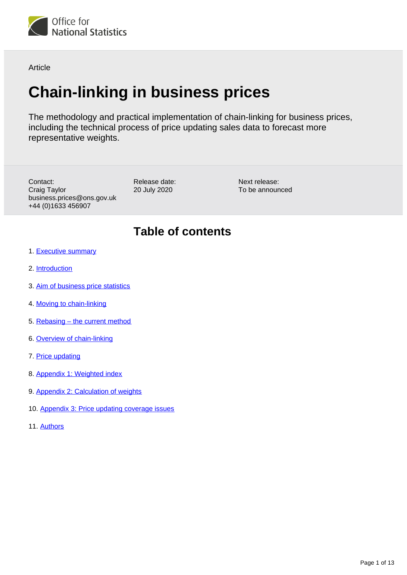

Article

# **Chain-linking in business prices**

The methodology and practical implementation of chain-linking for business prices, including the technical process of price updating sales data to forecast more representative weights.

Contact: Craig Taylor business.prices@ons.gov.uk +44 (0)1633 456907

Release date: 20 July 2020

Next release: To be announced

## **Table of contents**

- 1. [Executive summary](#page-1-0)
- 2. [Introduction](#page-1-1)
- 3. [Aim of business price statistics](#page-1-2)
- 4. [Moving to chain-linking](#page-2-0)
- 5. [Rebasing the current method](#page-2-1)
- 6. [Overview of chain-linking](#page-5-0)
- 7. [Price updating](#page-9-0)
- 8. [Appendix 1: Weighted index](#page-10-0)
- 9. [Appendix 2: Calculation of weights](#page-10-1)
- 10. [Appendix 3: Price updating coverage issues](#page-11-0)
- 11. [Authors](#page-12-0)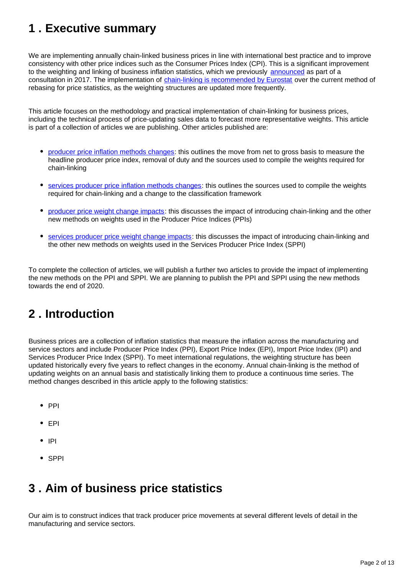## <span id="page-1-0"></span>**1 . Executive summary**

We are implementing annually chain-linked business prices in line with international best practice and to improve consistency with other price indices such as the Consumer Prices Index (CPI). This is a significant improvement to the weighting and linking of business inflation statistics, which we previously [announced](https://consultations.ons.gov.uk/prices/user-consultation-business-prices-june-2017/) as part of a consultation in 2017. The implementation of [chain-linking is recommended by Eurostat](https://ec.europa.eu/eurostat/documents/1916593/1917176/Chain+Linking+Final+Report+2012.pdf/30393337-82e8-4805-8d3b-baaab92b5c6f) over the current method of rebasing for price statistics, as the weighting structures are updated more frequently.

This article focuses on the methodology and practical implementation of chain-linking for business prices, including the technical process of price-updating sales data to forecast more representative weights. This article is part of a collection of articles we are publishing. Other articles published are:

- [producer price inflation methods changes](https://www.ons.gov.uk/economy/inflationandpriceindices/articles/producerpriceindicesmethodschanges/2020-07-20): this outlines the move from net to gross basis to measure the headline producer price index, removal of duty and the sources used to compile the weights required for chain-linking
- [services producer price inflation methods changes](https://www.ons.gov.uk/economy/inflationandpriceindices/articles/servicesproducerpriceindexmethodschanges/2020-07-20): this outlines the sources used to compile the weights required for chain-linking and a change to the classification framework
- [producer price weight change impacts:](https://www.ons.gov.uk/economy/inflationandpriceindices/articles/producerpriceweightchanges/2020-07-20) this discusses the impact of introducing chain-linking and the other new methods on weights used in the Producer Price Indices (PPIs)
- [services producer price weight change impacts:](https://www.ons.gov.uk/economy/inflationandpriceindices/articles/servicesproducerpriceweightchanges/2020-07-20) this discusses the impact of introducing chain-linking and the other new methods on weights used in the Services Producer Price Index (SPPI)

To complete the collection of articles, we will publish a further two articles to provide the impact of implementing the new methods on the PPI and SPPI. We are planning to publish the PPI and SPPI using the new methods towards the end of 2020.

## <span id="page-1-1"></span>**2 . Introduction**

Business prices are a collection of inflation statistics that measure the inflation across the manufacturing and service sectors and include Producer Price Index (PPI), Export Price Index (EPI), Import Price Index (IPI) and Services Producer Price Index (SPPI). To meet international regulations, the weighting structure has been updated historically every five years to reflect changes in the economy. Annual chain-linking is the method of updating weights on an annual basis and statistically linking them to produce a continuous time series. The method changes described in this article apply to the following statistics:

- $\bullet$  PPI
- $\bullet$  FPI
- $\bullet$  IPI
- SPPI

## <span id="page-1-2"></span>**3 . Aim of business price statistics**

Our aim is to construct indices that track producer price movements at several different levels of detail in the manufacturing and service sectors.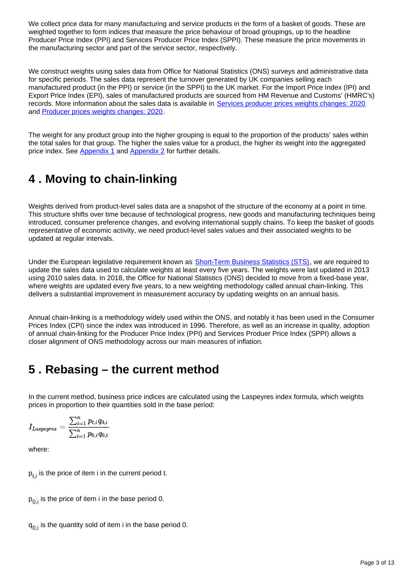We collect price data for many manufacturing and service products in the form of a basket of goods. These are weighted together to form indices that measure the price behaviour of broad groupings, up to the headline Producer Price Index (PPI) and Services Producer Price Index (SPPI). These measure the price movements in the manufacturing sector and part of the service sector, respectively.

We construct weights using sales data from Office for National Statistics (ONS) surveys and administrative data for specific periods. The sales data represent the turnover generated by UK companies selling each manufactured product (in the PPI) or service (in the SPPI) to the UK market. For the Import Price Index (IPI) and Export Price Index (EPI), sales of manufactured products are sourced from HM Revenue and Customs' (HMRC's) records. More information about the sales data is available in [Services producer prices weights changes: 2020](https://www.ons.gov.uk/economy/inflationandpriceindices/articles/servicesproducerpriceweightchanges/2020-07-20) and [Producer prices weights changes: 2020.](https://www.ons.gov.uk/economy/inflationandpriceindices/articles/producerpriceweightchanges/2020-07-20)

The weight for any product group into the higher grouping is equal to the proportion of the products' sales within the total sales for that group. The higher the sales value for a product, the higher its weight into the aggregated price index. See [Appendix 1](https://www.ons.gov.uk/economy/inflationandpriceindices/articles/chainlinkinginbusinessprices/2020-07-20#appendix-1-weighted-index) and [Appendix 2](https://www.ons.gov.uk/economy/inflationandpriceindices/articles/chainlinkinginbusinessprices/2020-07-20#appendix-2-calculation-of-weights) for further details.

## <span id="page-2-0"></span>**4 . Moving to chain-linking**

Weights derived from product-level sales data are a snapshot of the structure of the economy at a point in time. This structure shifts over time because of technological progress, new goods and manufacturing techniques being introduced, consumer preference changes, and evolving international supply chains. To keep the basket of goods representative of economic activity, we need product-level sales values and their associated weights to be updated at regular intervals.

Under the European legislative requirement known as **[Short-Term Business Statistics \(STS\)](https://ec.europa.eu/eurostat/web/short-term-business-statistics/overview/sts-in-brief)**, we are required to update the sales data used to calculate weights at least every five years. The weights were last updated in 2013 using 2010 sales data. In 2018, the Office for National Statistics (ONS) decided to move from a fixed-base year, where weights are updated every five years, to a new weighting methodology called annual chain-linking. This delivers a substantial improvement in measurement accuracy by updating weights on an annual basis.

Annual chain-linking is a methodology widely used within the ONS, and notably it has been used in the Consumer Prices Index (CPI) since the index was introduced in 1996. Therefore, as well as an increase in quality, adoption of annual chain-linking for the Producer Price Index (PPI) and Services Produer Price Index (SPPI) allows a closer alignment of ONS methodology across our main measures of inflation.

### <span id="page-2-1"></span>**5 . Rebasing – the current method**

In the current method, business price indices are calculated using the Laspeyres index formula, which weights prices in proportion to their quantities sold in the base period:

$$
I_{Laspeyres} = \frac{\sum_{i=1}^n p_{t,i} q_{0,i}}{\sum_{i=1}^n p_{0,i} q_{0,i}}
$$

where:

 $p_{t,i}$  is the price of item i in the current period t.

 $p_{0,i}$  is the price of item i in the base period 0.

 $q_{0,i}$  is the quantity sold of item i in the base period 0.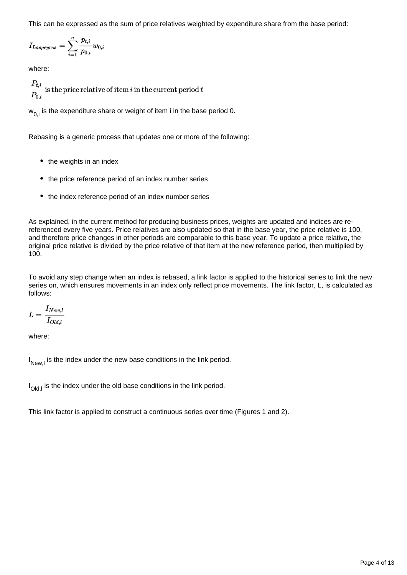This can be expressed as the sum of price relatives weighted by expenditure share from the base period:

$$
I_{Laspeyres}=\sum_{i=1}^n \frac{p_{t,i}}{p_{0,i}}w_{0,i}
$$

where:

 $\frac{P_{t,i}}{P_{0,i}}$  is the price relative of item i in the current period t

 $w_{0,i}$  is the expenditure share or weight of item i in the base period 0.

Rebasing is a generic process that updates one or more of the following:

- the weights in an index
- the price reference period of an index number series
- the index reference period of an index number series

As explained, in the current method for producing business prices, weights are updated and indices are rereferenced every five years. Price relatives are also updated so that in the base year, the price relative is 100, and therefore price changes in other periods are comparable to this base year. To update a price relative, the original price relative is divided by the price relative of that item at the new reference period, then multiplied by 100.

To avoid any step change when an index is rebased, a link factor is applied to the historical series to link the new series on, which ensures movements in an index only reflect price movements. The link factor, L, is calculated as follows:

$$
L = \frac{I_{New,l}}{I_{Old,l}}
$$

where:

 $I_{\text{New I}}$  is the index under the new base conditions in the link period.

 $I_{Old, l}$  is the index under the old base conditions in the link period.

This link factor is applied to construct a continuous series over time (Figures 1 and 2).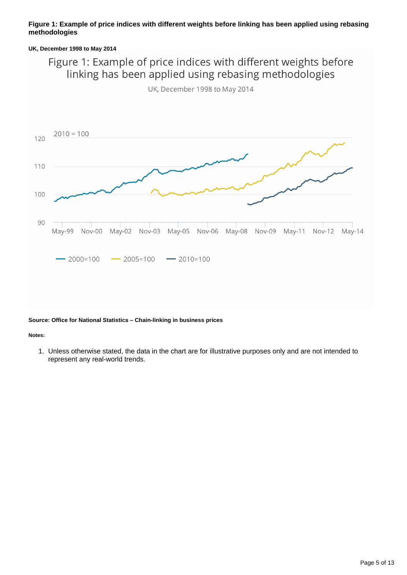#### **Figure 1: Example of price indices with different weights before linking has been applied using rebasing methodologies**

#### **UK, December 1998 to May 2014**

### Figure 1: Example of price indices with different weights before linking has been applied using rebasing methodologies



UK, December 1998 to May 2014

#### **Source: Office for National Statistics – Chain-linking in business prices**

#### **Notes:**

1. Unless otherwise stated, the data in the chart are for illustrative purposes only and are not intended to represent any real-world trends.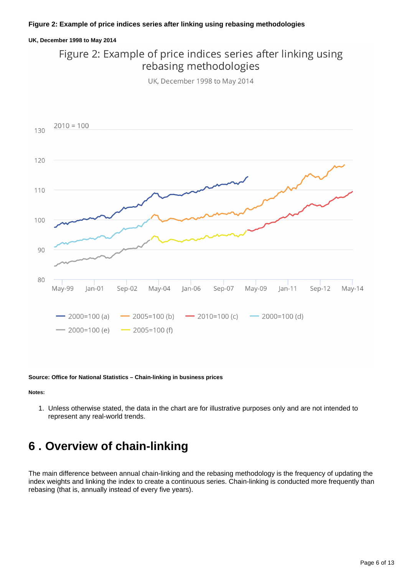#### **UK, December 1998 to May 2014**

### Figure 2: Example of price indices series after linking using rebasing methodologies

UK, December 1998 to May 2014



**Source: Office for National Statistics – Chain-linking in business prices**

**Notes:**

1. Unless otherwise stated, the data in the chart are for illustrative purposes only and are not intended to represent any real-world trends.

### <span id="page-5-0"></span>**6 . Overview of chain-linking**

The main difference between annual chain-linking and the rebasing methodology is the frequency of updating the index weights and linking the index to create a continuous series. Chain-linking is conducted more frequently than rebasing (that is, annually instead of every five years).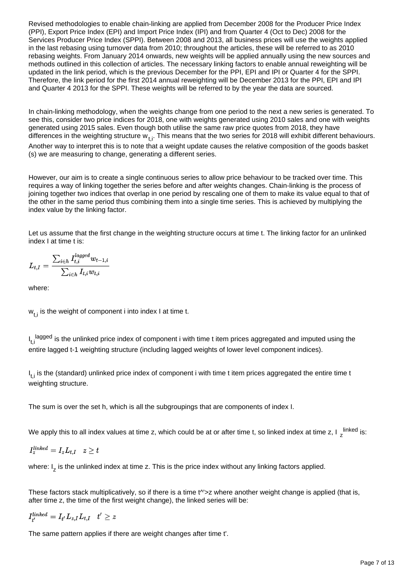Revised methodologies to enable chain-linking are applied from December 2008 for the Producer Price Index (PPI), Export Price Index (EPI) and Import Price Index (IPI) and from Quarter 4 (Oct to Dec) 2008 for the Services Producer Price Index (SPPI). Between 2008 and 2013, all business prices will use the weights applied in the last rebasing using turnover data from 2010; throughout the articles, these will be referred to as 2010 rebasing weights. From January 2014 onwards, new weights will be applied annually using the new sources and methods outlined in this collection of articles. The necessary linking factors to enable annual reweighting will be updated in the link period, which is the previous December for the PPI, EPI and IPI or Quarter 4 for the SPPI. Therefore, the link period for the first 2014 annual reweighting will be December 2013 for the PPI, EPI and IPI and Quarter 4 2013 for the SPPI. These weights will be referred to by the year the data are sourced.

In chain-linking methodology, when the weights change from one period to the next a new series is generated. To see this, consider two price indices for 2018, one with weights generated using 2010 sales and one with weights generated using 2015 sales. Even though both utilise the same raw price quotes from 2018, they have differences in the weighting structure  $w_{+i}$ . This means that the two series for 2018 will exhibit different behaviours. Another way to interpret this is to note that a weight update causes the relative composition of the goods basket (s) we are measuring to change, generating a different series.

However, our aim is to create a single continuous series to allow price behaviour to be tracked over time. This requires a way of linking together the series before and after weights changes. Chain-linking is the process of joining together two indices that overlap in one period by rescaling one of them to make its value equal to that of the other in the same period thus combining them into a single time series. This is achieved by multiplying the index value by the linking factor.

Let us assume that the first change in the weighting structure occurs at time t. The linking factor for an unlinked index I at time t is:

$$
L_{t,I} = \frac{\sum_{i \in h} I_{t,i}^{lagged} w_{t-1,i}}{\sum_{i \in h} I_{t,i} w_{t,i}}
$$

where:

 $w_{t,i}$  is the weight of component i into index I at time t.

 $I_{t,i}$ <sup>lagged</sup> is the unlinked price index of component i with time t item prices aggregated and imputed using the entire lagged t-1 weighting structure (including lagged weights of lower level component indices).

 $I_{t,i}$  is the (standard) unlinked price index of component i with time t item prices aggregated the entire time t weighting structure.

The sum is over the set h, which is all the subgroupings that are components of index I.

We apply this to all index values at time z, which could be at or after time t, so linked index at time z, I  $_{{\sf Z}}^{{\sf linked}}$  is:

$$
I^{linked}_{z} = I_z L_{t,I} \quad z \geq t
$$

where:  $I<sub>z</sub>$  is the unlinked index at time z. This is the price index without any linking factors applied.

These factors stack multiplicatively, so if there is a time t<sup>o'</sup>>z where another weight change is applied (that is, after time z, the time of the first weight change), the linked series will be:

$$
I^{linked}_{t'} = I_{t'} L_{z,I} L_{t,I}~~t' \geq z
$$

The same pattern applies if there are weight changes after time t'.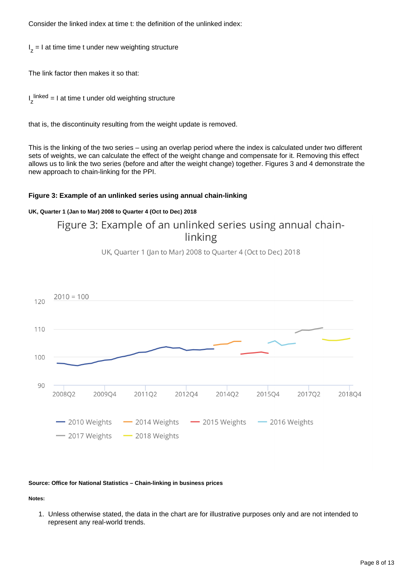Consider the linked index at time t: the definition of the unlinked index:

 $I<sub>z</sub> = I$  at time time t under new weighting structure

The link factor then makes it so that:

I<sub>z</sub><sup>linked</sup> = I at time t under old weighting structure

that is, the discontinuity resulting from the weight update is removed.

This is the linking of the two series – using an overlap period where the index is calculated under two different sets of weights, we can calculate the effect of the weight change and compensate for it. Removing this effect allows us to link the two series (before and after the weight change) together. Figures 3 and 4 demonstrate the new approach to chain-linking for the PPI.

#### **Figure 3: Example of an unlinked series using annual chain-linking**

#### **UK, Quarter 1 (Jan to Mar) 2008 to Quarter 4 (Oct to Dec) 2018**

### Figure 3: Example of an unlinked series using annual chainlinking





#### **Source: Office for National Statistics – Chain-linking in business prices**

**Notes:**

1. Unless otherwise stated, the data in the chart are for illustrative purposes only and are not intended to represent any real-world trends.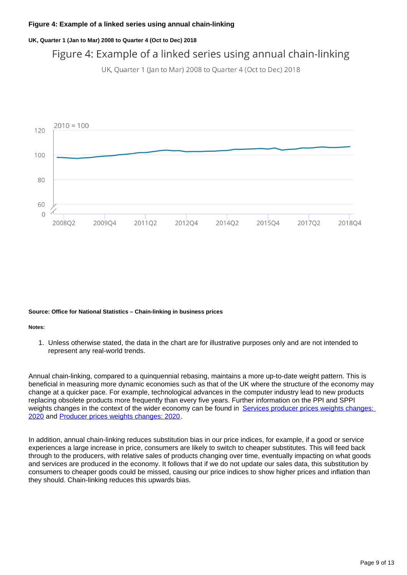#### **UK, Quarter 1 (Jan to Mar) 2008 to Quarter 4 (Oct to Dec) 2018**

### Figure 4: Example of a linked series using annual chain-linking

UK, Quarter 1 (Jan to Mar) 2008 to Quarter 4 (Oct to Dec) 2018



#### **Source: Office for National Statistics – Chain-linking in business prices**

#### **Notes:**

1. Unless otherwise stated, the data in the chart are for illustrative purposes only and are not intended to represent any real-world trends.

Annual chain-linking, compared to a quinquennial rebasing, maintains a more up-to-date weight pattern. This is beneficial in measuring more dynamic economies such as that of the UK where the structure of the economy may change at a quicker pace. For example, technological advances in the computer industry lead to new products replacing obsolete products more frequently than every five years. Further information on the PPI and SPPI weights changes in the context of the wider economy can be found in [Services producer prices weights changes:](https://www.ons.gov.uk/economy/inflationandpriceindices/articles/servicesproducerpriceweightchanges/2020-07-20)  [2020](https://www.ons.gov.uk/economy/inflationandpriceindices/articles/servicesproducerpriceweightchanges/2020-07-20) and [Producer prices weights changes: 2020](https://www.ons.gov.uk/economy/inflationandpriceindices/articles/producerpriceweightchanges/2020-07-20).

In addition, annual chain-linking reduces substitution bias in our price indices, for example, if a good or service experiences a large increase in price, consumers are likely to switch to cheaper substitutes. This will feed back through to the producers, with relative sales of products changing over time, eventually impacting on what goods and services are produced in the economy. It follows that if we do not update our sales data, this substitution by consumers to cheaper goods could be missed, causing our price indices to show higher prices and inflation than they should. Chain-linking reduces this upwards bias.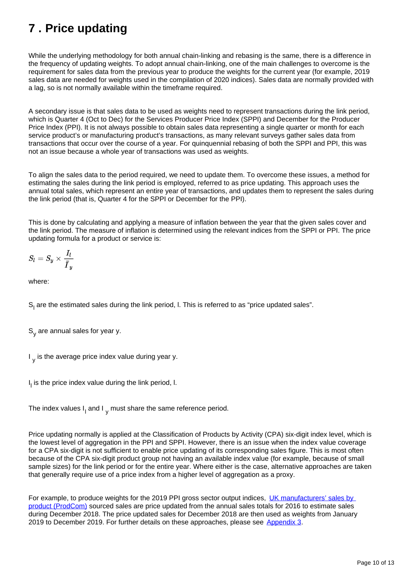## <span id="page-9-0"></span>**7 . Price updating**

While the underlying methodology for both annual chain-linking and rebasing is the same, there is a difference in the frequency of updating weights. To adopt annual chain-linking, one of the main challenges to overcome is the requirement for sales data from the previous year to produce the weights for the current year (for example, 2019 sales data are needed for weights used in the compilation of 2020 indices). Sales data are normally provided with a lag, so is not normally available within the timeframe required.

A secondary issue is that sales data to be used as weights need to represent transactions during the link period, which is Quarter 4 (Oct to Dec) for the Services Producer Price Index (SPPI) and December for the Producer Price Index (PPI). It is not always possible to obtain sales data representing a single quarter or month for each service product's or manufacturing product's transactions, as many relevant surveys gather sales data from transactions that occur over the course of a year. For quinquennial rebasing of both the SPPI and PPI, this was not an issue because a whole year of transactions was used as weights.

To align the sales data to the period required, we need to update them. To overcome these issues, a method for estimating the sales during the link period is employed, referred to as price updating. This approach uses the annual total sales, which represent an entire year of transactions, and updates them to represent the sales during the link period (that is, Quarter 4 for the SPPI or December for the PPI).

This is done by calculating and applying a measure of inflation between the year that the given sales cover and the link period. The measure of inflation is determined using the relevant indices from the SPPI or PPI. The price updating formula for a product or service is:

$$
S_l = S_y \times \frac{I_l}{\bar{I}_y}
$$

where:

S<sub>1</sub> are the estimated sales during the link period, I. This is referred to as "price updated sales".

 $S<sub>v</sub>$  are annual sales for year y.

 $I_{v}$  is the average price index value during year y.

 $I_i$  is the price index value during the link period,  $I_i$ .

The index values  $I_1$  and I<sub>v</sub> must share the same reference period.

Price updating normally is applied at the Classification of Products by Activity (CPA) six-digit index level, which is the lowest level of aggregation in the PPI and SPPI. However, there is an issue when the index value coverage for a CPA six-digit is not sufficient to enable price updating of its corresponding sales figure. This is most often because of the CPA six-digit product group not having an available index value (for example, because of small sample sizes) for the link period or for the entire year. Where either is the case, alternative approaches are taken that generally require use of a price index from a higher level of aggregation as a proxy.

For example, to produce weights for the 2019 PPI gross sector output indices. UK manufacturers' sales by [product \(ProdCom\)](https://www.ons.gov.uk/businessindustryandtrade/manufacturingandproductionindustry/bulletins/ukmanufacturerssalesbyproductprodcom/previousReleases) sourced sales are price updated from the annual sales totals for 2016 to estimate sales during December 2018. The price updated sales for December 2018 are then used as weights from January 2019 to December 2019. For further details on these approaches, please see [Appendix 3.](https://www.ons.gov.uk/economy/inflationandpriceindices/articles/chainlinkinginbusinessprices/2020-07-20#appendix-3-price-updating-coverage-issues)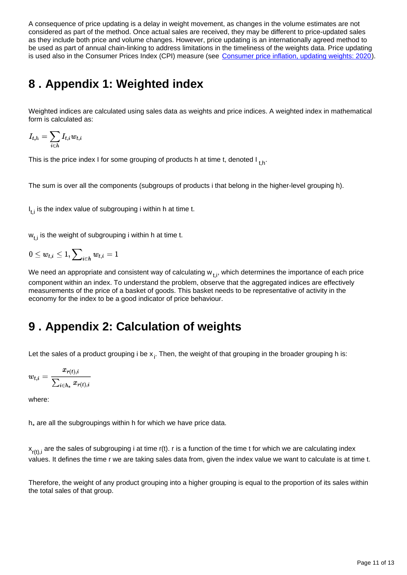A consequence of price updating is a delay in weight movement, as changes in the volume estimates are not considered as part of the method. Once actual sales are received, they may be different to price-updated sales as they include both price and volume changes. However, price updating is an internationally agreed method to be used as part of annual chain-linking to address limitations in the timeliness of the weights data. Price updating is used also in the Consumer Prices Index (CPI) measure (see [Consumer price inflation, updating weights: 2020\)](https://www.ons.gov.uk/economy/inflationandpriceindices/articles/consumerpriceinflationupdatingweights/2020).

## <span id="page-10-0"></span>**8 . Appendix 1: Weighted index**

Weighted indices are calculated using sales data as weights and price indices. A weighted index in mathematical form is calculated as:

$$
I_{t,h} = \sum_{i \in h} I_{t,i} w_{t,i}
$$

This is the price index I for some grouping of products h at time t, denoted I  $_{\mathsf{t,h}}$ .

The sum is over all the components (subgroups of products i that belong in the higher-level grouping h).

 $I_{\text{f}i}$  is the index value of subgrouping i within h at time t.

 $w_{t,i}$  is the weight of subgrouping i within h at time t.

 $0\leq w_{t,i}\leq 1, \sum\nolimits_{i\in h}w_{t,i}=1$ 

We need an appropriate and consistent way of calculating  $w_{+i}$ , which determines the importance of each price component within an index. To understand the problem, observe that the aggregated indices are effectively measurements of the price of a basket of goods. This basket needs to be representative of activity in the economy for the index to be a good indicator of price behaviour.

### <span id="page-10-1"></span>**9 . Appendix 2: Calculation of weights**

Let the sales of a product grouping i be  $x_i$ . Then, the weight of that grouping in the broader grouping h is:

$$
w_{t,i} = \frac{x_{r(t),i}}{\sum_{i \in h_*} x_{r(t),i}}
$$

where:

 $h<sub>*</sub>$  are all the subgroupings within h for which we have price data.

 $x_{r(t),i}$  are the sales of subgrouping i at time r(t). r is a function of the time t for which we are calculating index values. It defines the time r we are taking sales data from, given the index value we want to calculate is at time t.

Therefore, the weight of any product grouping into a higher grouping is equal to the proportion of its sales within the total sales of that group.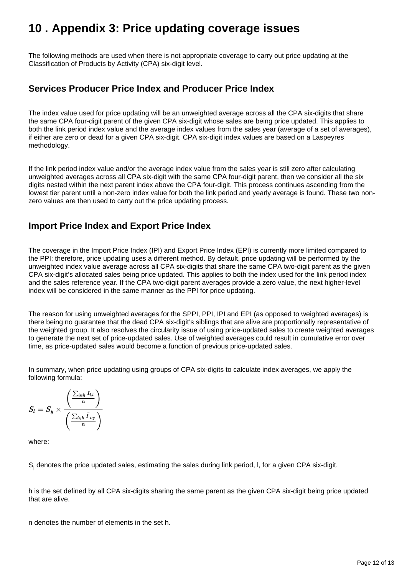### <span id="page-11-0"></span>**10 . Appendix 3: Price updating coverage issues**

The following methods are used when there is not appropriate coverage to carry out price updating at the Classification of Products by Activity (CPA) six-digit level.

### **Services Producer Price Index and Producer Price Index**

The index value used for price updating will be an unweighted average across all the CPA six-digits that share the same CPA four-digit parent of the given CPA six-digit whose sales are being price updated. This applies to both the link period index value and the average index values from the sales year (average of a set of averages), if either are zero or dead for a given CPA six-digit. CPA six-digit index values are based on a Laspeyres methodology.

If the link period index value and/or the average index value from the sales year is still zero after calculating unweighted averages across all CPA six-digit with the same CPA four-digit parent, then we consider all the six digits nested within the next parent index above the CPA four-digit. This process continues ascending from the lowest tier parent until a non-zero index value for both the link period and yearly average is found. These two nonzero values are then used to carry out the price updating process.

### **Import Price Index and Export Price Index**

The coverage in the Import Price Index (IPI) and Export Price Index (EPI) is currently more limited compared to the PPI; therefore, price updating uses a different method. By default, price updating will be performed by the unweighted index value average across all CPA six-digits that share the same CPA two-digit parent as the given CPA six-digit's allocated sales being price updated. This applies to both the index used for the link period index and the sales reference year. If the CPA two-digit parent averages provide a zero value, the next higher-level index will be considered in the same manner as the PPI for price updating.

The reason for using unweighted averages for the SPPI, PPI, IPI and EPI (as opposed to weighted averages) is there being no guarantee that the dead CPA six-digit's siblings that are alive are proportionally representative of the weighted group. It also resolves the circularity issue of using price-updated sales to create weighted averages to generate the next set of price-updated sales. Use of weighted averages could result in cumulative error over time, as price-updated sales would become a function of previous price-updated sales.

In summary, when price updating using groups of CPA six-digits to calculate index averages, we apply the following formula:

$$
S_l = S_y \times \frac{\left(\frac{\sum_{i \in h} I_{i,l}}{n}\right)}{\left(\frac{\sum_{i \in h} \bar{I}_{i,y}}{n}\right)}
$$

where:

S, denotes the price updated sales, estimating the sales during link period, I, for a given CPA six-digit.

h is the set defined by all CPA six-digits sharing the same parent as the given CPA six-digit being price updated that are alive.

n denotes the number of elements in the set h.